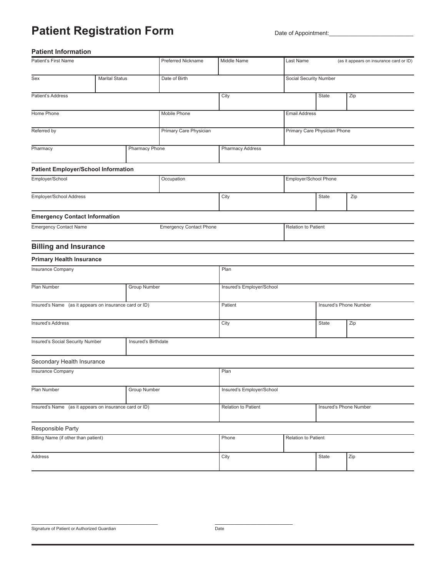### **Patient Registration Form** Date of Appointment:

### **Patient Information**

| Patient's First Name                                    |                       |                     | <b>Preferred Nickname</b>      | Middle Name               | Last Name                     |                              | (as it appears on insurance card or ID) |  |
|---------------------------------------------------------|-----------------------|---------------------|--------------------------------|---------------------------|-------------------------------|------------------------------|-----------------------------------------|--|
| Sex                                                     | <b>Marital Status</b> |                     | Date of Birth                  |                           | <b>Social Security Number</b> |                              |                                         |  |
| Patient's Address                                       |                       |                     |                                | City                      |                               | State                        | Zip                                     |  |
| Home Phone                                              |                       |                     | Mobile Phone                   |                           | <b>Email Address</b>          |                              |                                         |  |
| Referred by                                             |                       |                     | <b>Primary Care Physician</b>  |                           |                               | Primary Care Physician Phone |                                         |  |
| Pharmacy<br><b>Pharmacy Phone</b>                       |                       |                     | <b>Pharmacy Address</b>        |                           |                               |                              |                                         |  |
| <b>Patient Employer/School Information</b>              |                       |                     |                                |                           |                               |                              |                                         |  |
| Employer/School                                         |                       |                     | Occupation                     |                           | Employer/School Phone         |                              |                                         |  |
| Employer/School Address                                 |                       |                     |                                | City                      |                               | State                        | Zip                                     |  |
| <b>Emergency Contact Information</b>                    |                       |                     |                                |                           |                               |                              |                                         |  |
| <b>Emergency Contact Name</b>                           |                       |                     | <b>Emergency Contact Phone</b> |                           | Relation to Patient           |                              |                                         |  |
| <b>Billing and Insurance</b>                            |                       |                     |                                |                           |                               |                              |                                         |  |
| <b>Primary Health Insurance</b>                         |                       |                     |                                |                           |                               |                              |                                         |  |
| <b>Insurance Company</b>                                |                       |                     |                                | Plan                      |                               |                              |                                         |  |
| Plan Number                                             |                       | <b>Group Number</b> |                                | Insured's Employer/School |                               |                              |                                         |  |
| Insured's Name (as it appears on insurance card or ID)  |                       |                     |                                | Patient                   |                               | Insured's Phone Number       |                                         |  |
| Insured's Address                                       |                       |                     |                                | City                      |                               | State                        | Zip                                     |  |
| Insured's Social Security Number<br>Insured's Birthdate |                       |                     |                                |                           |                               |                              |                                         |  |
| Secondary Health Insurance                              |                       |                     |                                |                           |                               |                              |                                         |  |
| <b>Insurance Company</b>                                |                       |                     |                                | Plan                      |                               |                              |                                         |  |
| Group Number<br>Plan Number                             |                       |                     |                                | Insured's Employer/School |                               |                              |                                         |  |
| Insured's Name (as it appears on insurance card or ID)  |                       |                     |                                | Relation to Patient       |                               |                              | Insured's Phone Number                  |  |
| Responsible Party                                       |                       |                     |                                |                           |                               |                              |                                         |  |
| Billing Name (if other than patient)                    |                       |                     |                                | Phone                     | Relation to Patient           |                              |                                         |  |
| Address                                                 |                       |                     |                                | City                      |                               | State                        | Zip                                     |  |
|                                                         |                       |                     |                                |                           |                               |                              |                                         |  |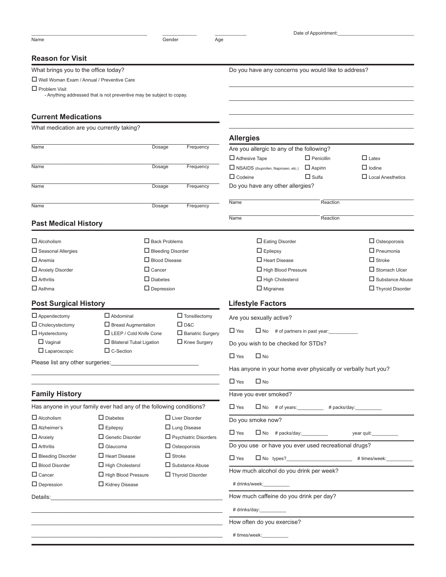|                                              |                                                                                                                                                                                                                                     |                              |                                                               | Date of Appointment: |                                                                  |
|----------------------------------------------|-------------------------------------------------------------------------------------------------------------------------------------------------------------------------------------------------------------------------------------|------------------------------|---------------------------------------------------------------|----------------------|------------------------------------------------------------------|
| Name                                         |                                                                                                                                                                                                                                     | Gender<br>Age                |                                                               |                      |                                                                  |
| <b>Reason for Visit</b>                      |                                                                                                                                                                                                                                     |                              |                                                               |                      |                                                                  |
| What brings you to the office today?         |                                                                                                                                                                                                                                     |                              | Do you have any concerns you would like to address?           |                      |                                                                  |
| □ Well Woman Exam / Annual / Preventive Care |                                                                                                                                                                                                                                     |                              |                                                               |                      |                                                                  |
| $\Box$ Problem Visit                         |                                                                                                                                                                                                                                     |                              |                                                               |                      |                                                                  |
|                                              | - Anything addressed that is not preventive may be subject to copay.                                                                                                                                                                |                              |                                                               |                      |                                                                  |
| <b>Current Medications</b>                   |                                                                                                                                                                                                                                     |                              |                                                               |                      |                                                                  |
| What medication are you currently taking?    |                                                                                                                                                                                                                                     |                              |                                                               |                      |                                                                  |
|                                              |                                                                                                                                                                                                                                     |                              | <b>Allergies</b>                                              |                      |                                                                  |
| Name                                         | Dosage                                                                                                                                                                                                                              | Frequency                    | Are you allergic to any of the following?                     |                      |                                                                  |
|                                              |                                                                                                                                                                                                                                     |                              | $\Box$ Adhesive Tape                                          | $\Box$ Penicillin    | $\Box$ Latex                                                     |
| Name                                         | Dosage                                                                                                                                                                                                                              | Frequency                    | NSAIDS (ibuprofen, Naproxen, etc.)                            | $\Box$ Aspirin       | $\Box$ lodine                                                    |
|                                              |                                                                                                                                                                                                                                     |                              | $\Box$ Codeine                                                | $\Box$ Sulfa         | $\Box$ Local Anesthetics                                         |
| Name                                         | Dosage                                                                                                                                                                                                                              | Frequency                    | Do you have any other allergies?                              |                      |                                                                  |
| Name                                         | Dosage                                                                                                                                                                                                                              |                              | Name                                                          | Reaction             |                                                                  |
|                                              |                                                                                                                                                                                                                                     | Frequency                    |                                                               |                      |                                                                  |
| <b>Past Medical History</b>                  |                                                                                                                                                                                                                                     |                              | Name                                                          | Reaction             |                                                                  |
| $\Box$ Alcoholism                            | $\Box$ Back Problems                                                                                                                                                                                                                |                              | $\Box$ Eating Disorder                                        |                      | $\Box$ Osteoporosis                                              |
| □ Seasonal Allergies                         |                                                                                                                                                                                                                                     | $\Box$ Bleeding Disorder     | $\Box$ Epilepsy                                               |                      | $\Box$ Pneumonia                                                 |
| $\Box$ Anemia                                | $\Box$ Blood Disease                                                                                                                                                                                                                |                              | $\Box$ Heart Disease                                          |                      | $\Box$ Stroke                                                    |
| $\Box$ Anxiety Disorder                      | $\Box$ Cancer                                                                                                                                                                                                                       |                              | $\Box$ High Blood Pressure                                    |                      | $\Box$ Stomach Ulcer                                             |
| $\Box$ Arthritis                             | $\Box$ Diabetes                                                                                                                                                                                                                     |                              | $\Box$ High Cholesterol                                       |                      | $\Box$ Substance Abuse                                           |
| $\Box$ Asthma                                | $\Box$ Depression                                                                                                                                                                                                                   |                              | $\Box$ Migraines                                              |                      | $\Box$ Thyroid Disorder                                          |
| <b>Post Surgical History</b>                 |                                                                                                                                                                                                                                     |                              | <b>Lifestyle Factors</b>                                      |                      |                                                                  |
| $\Box$ Appendectomy                          | $\Box$ Abdominal                                                                                                                                                                                                                    | $\Box$ Tonsillectomy         | Are you sexually active?                                      |                      |                                                                  |
| $\Box$ Cholecystectomy                       | $\Box$ Breast Augmentation                                                                                                                                                                                                          | $\Box$ D&C                   |                                                               |                      |                                                                  |
| $\Box$ Hysterectomy                          | $\Box$ LEEP / Cold Knife Cone                                                                                                                                                                                                       | $\Box$ Bariatric Surgery     | $\Box$ Yes<br>$\Box$ No # of partners in past year:           |                      |                                                                  |
| $\Box$ Vaginal                               | $\Box$ Bilateral Tubal Ligation                                                                                                                                                                                                     | $\Box$ Knee Surgery          | Do you wish to be checked for STDs?                           |                      |                                                                  |
| $\Box$ Laparoscopic                          | $\Box$ C-Section                                                                                                                                                                                                                    |                              | $\Box$ Yes<br>$\square$ No                                    |                      |                                                                  |
|                                              | Please list any other surgeries:<br>The manufacturer of the surgeries:                                                                                                                                                              |                              | Has anyone in your home ever physically or verbally hurt you? |                      |                                                                  |
|                                              |                                                                                                                                                                                                                                     |                              | $\Box$ No<br>$\Box$ Yes                                       |                      |                                                                  |
| <b>Family History</b>                        |                                                                                                                                                                                                                                     |                              | Have you ever smoked?                                         |                      |                                                                  |
|                                              | Has anyone in your family ever had any of the following conditions?                                                                                                                                                                 |                              | $\Box$ No # of years: $\qquad$ # packs/day:<br>$\Box$ Yes     |                      |                                                                  |
| $\Box$ Alcoholism                            | $\Box$ Diabetes                                                                                                                                                                                                                     | $\Box$ Liver Disorder        | Do you smoke now?                                             |                      |                                                                  |
| $\Box$ Alzheimer's                           | $\Box$ Epilepsy                                                                                                                                                                                                                     | $\Box$ Lung Disease          | $\Box$ Yes                                                    |                      | year quit:                                                       |
| $\Box$ Anxiety                               | $\Box$ Genetic Disorder                                                                                                                                                                                                             | $\Box$ Psychiatric Disorders |                                                               |                      |                                                                  |
| $\Box$ Arthritis                             | $\Box$ Glaucoma                                                                                                                                                                                                                     | $\Box$ Osteoporosis          | Do you use or have you ever used recreational drugs?          |                      |                                                                  |
| $\Box$ Bleeding Disorder                     | $\Box$ Heart Disease                                                                                                                                                                                                                | $\Box$ Stroke                | $\Box$ Yes                                                    |                      | □ No types?__________________________________ # times/week:_____ |
| $\Box$ Blood Disorder                        | $\Box$ High Cholesterol                                                                                                                                                                                                             | $\Box$ Substance Abuse       | How much alcohol do you drink per week?                       |                      |                                                                  |
| $\Box$ Cancer                                | $\Box$ High Blood Pressure                                                                                                                                                                                                          | $\Box$ Thyroid Disorder      |                                                               |                      |                                                                  |
| $\Box$ Depression                            | $\Box$ Kidney Disease                                                                                                                                                                                                               |                              | # drinks/week:____________                                    |                      |                                                                  |
|                                              | Details: <u>Details:</u> Particular and Contract and Contract and Contract and Contract and Contract and Contract and Contract and Contract and Contract and Contract and Contract and Contract and Contract and Contract and Contr |                              | How much caffeine do you drink per day?                       |                      |                                                                  |
|                                              |                                                                                                                                                                                                                                     |                              | # drinks/day:___________                                      |                      |                                                                  |
|                                              |                                                                                                                                                                                                                                     |                              | How often do you exercise?                                    |                      |                                                                  |
|                                              |                                                                                                                                                                                                                                     |                              | # times/week:                                                 |                      |                                                                  |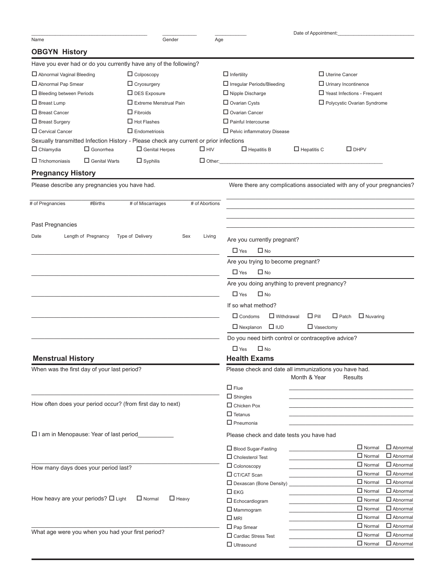|                                                                                                                               |                               |                |                                                       | Date of Appointment: |                                                                       |
|-------------------------------------------------------------------------------------------------------------------------------|-------------------------------|----------------|-------------------------------------------------------|----------------------|-----------------------------------------------------------------------|
| Name                                                                                                                          | Gender                        | Age            |                                                       |                      |                                                                       |
| <b>OBGYN History</b>                                                                                                          |                               |                |                                                       |                      |                                                                       |
| Have you ever had or do you currently have any of the following?                                                              |                               |                |                                                       |                      |                                                                       |
| Abnormal Vaginal Bleeding                                                                                                     | $\Box$ Colposcopy             |                | $\Box$ Infertility                                    |                      | $\Box$ Uterine Cancer                                                 |
| $\Box$ Abnormal Pap Smear                                                                                                     | $\Box$ Cryosurgery            |                | $\Box$ Irregular Periods/Bleeding                     |                      | $\Box$ Urinary Incontinence                                           |
| $\Box$ Bleeding between Periods                                                                                               | $\Box$ DES Exposure           |                | $\Box$ Nipple Discharge                               |                      | $\Box$ Yeast Infections - Frequent                                    |
| $\square$ Breast Lump                                                                                                         | $\Box$ Extreme Menstrual Pain |                | $\Box$ Ovarian Cysts                                  |                      | Polycystic Ovarian Syndrome                                           |
| $\Box$ Breast Cancer                                                                                                          | $\Box$ Fibroids               |                | $\Box$ Ovarian Cancer                                 |                      |                                                                       |
| $\Box$ Breast Surgery                                                                                                         | $\Box$ Hot Flashes            |                | $\Box$ Painful Intercourse                            |                      |                                                                       |
| $\Box$ Cervical Cancer                                                                                                        | $\Box$ Endometriosis          |                | $\Box$ Pelvic inflammatory Disease                    |                      |                                                                       |
| Sexually transmitted Infection History - Please check any current or prior infections<br>$\Box$ Chlamydia<br>$\Box$ Gonorrhea | $\Box$ Genital Herpes         | $\Box$ HIV     | $\Box$ Hepatitis B                                    | $\Box$ Hepatitis C   | $\Box$ DHPV                                                           |
| $\Box$ Trichomoniasis<br>$\Box$ Genital Warts                                                                                 | $\Box$ Syphilis               | $\Box$ Other:  |                                                       |                      |                                                                       |
| <b>Pregnancy History</b>                                                                                                      |                               |                |                                                       |                      |                                                                       |
| Please describe any pregnancies you have had.                                                                                 |                               |                |                                                       |                      | Were there any complications associated with any of your pregnancies? |
| # of Pregnancies<br>#Births                                                                                                   | # of Miscarriages             | # of Abortions |                                                       |                      |                                                                       |
| Past Pregnancies                                                                                                              |                               |                |                                                       |                      |                                                                       |
| Length of Pregnancy<br>Date                                                                                                   | Type of Delivery<br>Sex       | Living         | Are you currently pregnant?                           |                      |                                                                       |
|                                                                                                                               |                               |                | $\Box$ Yes<br>$\Box$ No                               |                      |                                                                       |
|                                                                                                                               |                               |                | Are you trying to become pregnant?                    |                      |                                                                       |
|                                                                                                                               |                               |                | $\Box$ Yes<br>$\Box$ No                               |                      |                                                                       |
|                                                                                                                               |                               |                | Are you doing anything to prevent pregnancy?          |                      |                                                                       |
|                                                                                                                               |                               |                | $\Box$ Yes<br>$\square$ No                            |                      |                                                                       |
|                                                                                                                               |                               |                |                                                       |                      |                                                                       |
|                                                                                                                               |                               |                | If so what method?                                    |                      |                                                                       |
|                                                                                                                               |                               |                | $\Box$ Condoms<br>$\Box$ Withdrawal                   | $\Box$ Pill          | $\Box$ Patch<br>$\Box$ Nuvaring                                       |
|                                                                                                                               |                               |                | $\square$ IUD<br>$\Box$ Nexplanon                     | $\Box$ Vasectomy     |                                                                       |
|                                                                                                                               |                               |                | Do you need birth control or contraceptive advice?    |                      |                                                                       |
|                                                                                                                               |                               |                | $\Box$ Yes<br>$\Box$ No                               |                      |                                                                       |
| <b>Menstrual History</b>                                                                                                      |                               |                | <b>Health Exams</b>                                   |                      |                                                                       |
| When was the first day of your last period?                                                                                   |                               |                | Please check and date all immunizations you have had. | Month & Year         | <b>Results</b>                                                        |
|                                                                                                                               |                               |                | $\Box$ Flue                                           |                      |                                                                       |
|                                                                                                                               |                               |                | $\Box$ Shingles                                       |                      |                                                                       |
| How often does your period occur? (from first day to next)                                                                    |                               |                | $\Box$ Chicken Pox                                    |                      |                                                                       |
|                                                                                                                               |                               |                | $\Box$ Tetanus                                        |                      |                                                                       |
|                                                                                                                               |                               |                | $\Box$ Pneumonia                                      |                      |                                                                       |
| $\square$ I am in Menopause: Year of last period                                                                              |                               |                | Please check and date tests you have had              |                      |                                                                       |
|                                                                                                                               |                               |                | □ Blood Sugar-Fasting                                 |                      | $\Box$ Abnormal<br>$\Box$ Normal                                      |
|                                                                                                                               |                               |                | $\Box$ Cholesterol Test                               |                      | $\Box$ Normal<br>$\Box$ Abnormal                                      |
| How many days does your period last?                                                                                          |                               |                | $\Box$ Colonoscopy                                    |                      | $\Box$ Normal<br>$\Box$ Abnormal                                      |
|                                                                                                                               |                               |                | $\Box$ CT/CAT Scan                                    |                      | $\Box$ Normal<br>$\Box$ Abnormal                                      |
|                                                                                                                               |                               |                | $\Box$ Dexascan (Bone Density)                        |                      | $\Box$ Normal<br>$\Box$ Abnormal                                      |
| How heavy are your periods? $\square$ Light                                                                                   | $\Box$ Normal<br>$\Box$ Heavy |                | $\square$ EKG                                         |                      | $\Box$ Normal<br>$\Box$ Abnormal                                      |
|                                                                                                                               |                               |                | $\Box$ Echocardiogram                                 |                      | $\Box$ Normal<br>$\Box$ Abnormal<br>$\Box$ Normal<br>$\Box$ Abnormal  |
|                                                                                                                               |                               |                | $\Box$ Mammogram                                      |                      | $\Box$ Normal<br>$\Box$ Abnormal                                      |
|                                                                                                                               |                               |                | $\square$ MRI                                         |                      | $\Box$ Normal<br>$\Box$ Abnormal                                      |
| What age were you when you had your first period?                                                                             |                               |                | $\Box$ Pap Smear<br>□ Cardiac Stress Test             |                      | $\Box$ Normal<br>$\Box$ Abnormal                                      |
|                                                                                                                               |                               |                | $\Box$ Ultrasound                                     |                      | $\Box$ Normal<br>$\Box$ Abnormal                                      |
|                                                                                                                               |                               |                |                                                       |                      |                                                                       |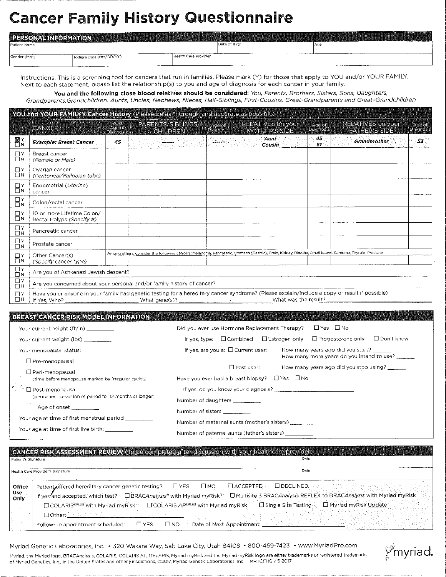### **Cancer Family History Questionnaire**

| PERSONAL INFORMATION |                         |                      |               |      |
|----------------------|-------------------------|----------------------|---------------|------|
| Patient Name         |                         |                      | Date of Birth | ∣Ag€ |
| Gender (M/F)         | Today's Date (MM/DD/YY) | Health Care Provider |               |      |

Instructions: This is a screening tool for cancers that run in families. Please mark (Y) for those that apply to YOU and/or YOUR FAMILY. Next to each statement, please list the relationship(s) to you and age of diagnosis for each cancer in your family.

You and the following close blood relatives should be considered: You, Parents, Brothers, Sisters, Sons, Daughters, Grandparents, Grandchildren, Aunts, Uncles, Nephews, Nieces, Half-Siblings, First-Cousins, Great-Grandparents and Great-Grandchildren

YOU and YOUR FAMILY's Cancer History (Please be as thorough and accurate as possible) YOU. PARENTS/SIBLINGS/ **RELATIVES on your** RELATIVES on your **Ace of** Age of Age of **CANCER** 

|                      |                                                                                                                                                                                                        | <b>Diagnosis</b> | <u>ghiedran</u>                                                                                                                                        | <b>PIPPINOSIS</b> |  | <u>Muherostue</u>     |            | iyan hake boldin | <u>Casaro and</u> |
|----------------------|--------------------------------------------------------------------------------------------------------------------------------------------------------------------------------------------------------|------------------|--------------------------------------------------------------------------------------------------------------------------------------------------------|-------------------|--|-----------------------|------------|------------------|-------------------|
| $\sum_{N}$           | <b>Example: Breast Cancer</b>                                                                                                                                                                          | 45.              |                                                                                                                                                        | -----             |  | Aunt<br><b>Cousin</b> | 45.<br>61. | Grandmother      | 53                |
| $\Box$ Y<br>$\Box N$ | Breast cancer<br>(Female or Male)                                                                                                                                                                      |                  |                                                                                                                                                        |                   |  |                       |            |                  |                   |
| ŪΥ<br>$\Box$ N       | Ovarian cancer<br>(Peritoneal/Fallopian tube)                                                                                                                                                          |                  |                                                                                                                                                        |                   |  |                       |            |                  |                   |
| ΠY<br>$\Box N$       | Endometrial (Uterine)<br>cancer                                                                                                                                                                        |                  |                                                                                                                                                        |                   |  |                       |            |                  |                   |
| $\Xi_{\nu}^{\nu}$    | Colon/rectal cancer                                                                                                                                                                                    |                  |                                                                                                                                                        |                   |  |                       |            |                  |                   |
| אם<br>$\Box N$       | 10 or more Lifetime Colon/<br>Rectal Polyps (Specify #)                                                                                                                                                |                  |                                                                                                                                                        |                   |  |                       |            |                  |                   |
| $\prod_{N}^{r}$      | Pancreatic cancer                                                                                                                                                                                      |                  |                                                                                                                                                        |                   |  |                       |            |                  |                   |
| $\prod_{N}$          | Prostate cancer                                                                                                                                                                                        |                  |                                                                                                                                                        |                   |  |                       |            |                  |                   |
| $\Box$ Y<br>$\Box$ N | Other Cancer(s)<br>(Specify cancer type)                                                                                                                                                               |                  | Among others, consider the following cancers: Melanoma, Pancreatic, Stomach (Gastric), Brain, Kidney, Bladder, Small bowel, Sarcoma, Thyroid, Prostate |                   |  |                       |            |                  |                   |
| $\Xi_{\nu}^{\nu}$    | Are you of Ashkenazi Jewish descent?                                                                                                                                                                   |                  |                                                                                                                                                        |                   |  |                       |            |                  |                   |
| $\prod_{N}$          | Are you concerned about your personal and/or family history of cancer?                                                                                                                                 |                  |                                                                                                                                                        |                   |  |                       |            |                  |                   |
| ΩY<br>ΠN             | Have you or anyone in your family had genetic testing for a hereditary cancer syndrome? (Please explain/include a copy of result if possible)<br>What was the result?<br>If Yes, Who?<br>What gene(s)? |                  |                                                                                                                                                        |                   |  |                       |            |                  |                   |

### BREAST CANCER RISK MODEL INFORMATION

| Your current height (ft/in)                                         | $\Box$ Yes $\Box$ No<br>Did you ever use Hormone Replacement Therapy?                             |
|---------------------------------------------------------------------|---------------------------------------------------------------------------------------------------|
| Your current weight (lbs)                                           | $\Box$ Don't know<br>□ Progesterone only<br>$\Box$ Combined $\Box$ Estrogen only<br>If yes, type: |
| Your menopausal status:                                             | How many years ago did you start?<br>If yes, are you a: $\Box$ Current user:                      |
| □ Pre-menopausal                                                    | How many more years do you intend to use?                                                         |
| $\Box$ Peri-menopausal                                              | □ Past user:<br>How many years ago did you stop using? ______                                     |
| (time before menopause marked by irregular cycles)                  | □ Yes □ No<br>Have you ever had a breast biopsy?                                                  |
| ∃ Post-menopausal                                                   | If yes, do you know your diagnosis?                                                               |
| (permanent cessation of period for 12 months or longer)<br>المعارضة | Number of daughters                                                                               |
| Age of onset <b>Age of onset</b>                                    | Number of sisters <b>Number</b>                                                                   |
| Your age at time of first menstrual period _______                  | Number of maternal aunts (mother's sisters)                                                       |
| Your age at time of first live birth: The Commission                | Number of naternal aunts (father's sisters)                                                       |

|                        | GANGER RISK ASSESSMENT REVIEW (To be completed after discussion with your healthcare provider)                                                                                                                                                                                                                                                                                                                                                                                                                                                          |                                       |
|------------------------|---------------------------------------------------------------------------------------------------------------------------------------------------------------------------------------------------------------------------------------------------------------------------------------------------------------------------------------------------------------------------------------------------------------------------------------------------------------------------------------------------------------------------------------------------------|---------------------------------------|
| Patient's Signature    |                                                                                                                                                                                                                                                                                                                                                                                                                                                                                                                                                         | Date                                  |
|                        | Health Care Provider's Signature                                                                                                                                                                                                                                                                                                                                                                                                                                                                                                                        | Date                                  |
| Office<br>Use.<br>Only | $\Box$ ACCEPTED<br>Patient offered hereditary cancer genetic testing? □ YES<br><b>ENO</b><br>If yes and accepted, which test? I DBRACAnalysis® with Myriad myRisk® D Multisite 3 BRACAnalysis REFLEX to BRACAnalysis with Myriad myRisk<br>[ COLARIS <sup>erius</sup> with Myriad myRisk   COLARIS AP <sup>erius</sup> with Myriad myRisk   C Single Site Testing   C Myriad myRisk Update<br><b>El Other:</b> NASCAN A Research and the second<br>$\square$ NO<br>Date of Next Appointment: New York 1997<br>⊡ YES<br>Follow-up appointment scheduled: | <b>ELDECLINED</b> News and Statistics |

Myriad Genetic Laboratories, Inc. • 320 Wakara Way, Salt Lake City, Utah 84108 • 800-469-7423 • www.MyriadPro.com

Myriad, the Myriad logo, BRACAnalysis, COLARIS, COLARIS AP, MELARIS, Myriad myRisk and the Myriad myRisk logo are either trademarks or registered trademarks of Myriad Genetics, Inc., in the United States and other jurisdictions, @2017, Myriad Genetic Laboratories, Inc MRTCFHQ / 5-2017

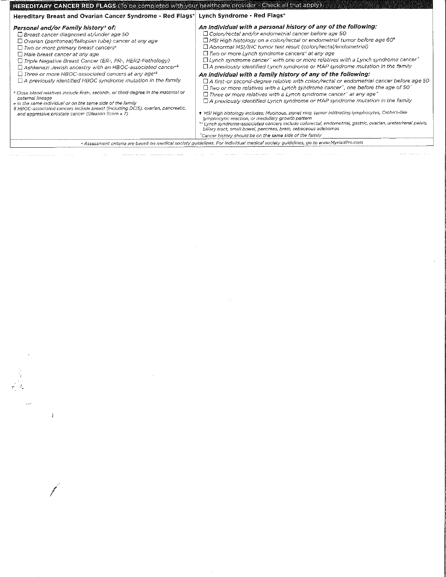| An individual with a personal history of any of the following:<br>Personal and/or Family history† of:<br>□ Colon/rectal and/or endometrial cancer before age 50<br>$\Box$ Breast cancer diagnosed at/under age 50<br>□ MSI High histology on a colon/rectal or endometrial tumor before age 60*<br>□ Ovarian (peritoneal/fallopian tube) cancer at any age<br>□ Abnormal MSI/IHC tumor test result (colon/rectal/endometrial)<br>$\Box$ Two or more primary breast cancers <sup>*</sup><br>$\Box$ Two or more Lynch syndrome cancers" at any age<br>$\Box$ Male breast cancer at any age<br>$\Box$ Lynch syndrome cancer" with one or more relatives with a Lynch syndrome cancer $\hat{ }$<br>Triple Negative Breast Cancer (ER-, PR-, HER2-Pathology)<br>$\Box$ A previously identified Lynch syndrome or MAP syndrome mutation in the family<br>$\Box$ Ashkenazi Jewish ancestry with an HBOC-associated cancer <sup>*</sup><br>$\Box$ Three or more HBOC-associated cancers at any age <sup>rs</sup><br>An individual with a family history of any of the following:<br>$\Box$ A previously identified HBOC syndrome mutation in the family<br>$\Box$ Two or more relatives with a Lynch syndrome cancer", one before the age of 50°<br>t Close blood relatives include first-, second-, or third-degree in the maternal or<br>$\Box$ Three or more relatives with a Lynch syndrome cancer" at any age $\hat{ }$<br>paternal lineage<br>$\Box$ A previously identified Lynch syndrome or MAP syndrome mutation in the family<br>in the same individual or on the same side of the family<br>§ HBOC-associated cancers include breast (including DCIS), ovarian, pancreatic,<br>1 MSI High histology includes: Mucinous, signet ring, tumor infiltrating lymphocytes, Crohn's-like<br>and aggressive prostate cancer (Gleason Score ≥ 7)<br>lymphocytic reaction, or medullary growth pattern<br>biliary tract, small bowel, pancreas, brain, sebaceous adenomas<br>Cancer history should be on the same side of the family | Hereditary Breast and Ovarian Cancer Syndrome - Red Flags* | Lynch Syndrome - Red Flags*                                                                                                                                                                                    |
|--------------------------------------------------------------------------------------------------------------------------------------------------------------------------------------------------------------------------------------------------------------------------------------------------------------------------------------------------------------------------------------------------------------------------------------------------------------------------------------------------------------------------------------------------------------------------------------------------------------------------------------------------------------------------------------------------------------------------------------------------------------------------------------------------------------------------------------------------------------------------------------------------------------------------------------------------------------------------------------------------------------------------------------------------------------------------------------------------------------------------------------------------------------------------------------------------------------------------------------------------------------------------------------------------------------------------------------------------------------------------------------------------------------------------------------------------------------------------------------------------------------------------------------------------------------------------------------------------------------------------------------------------------------------------------------------------------------------------------------------------------------------------------------------------------------------------------------------------------------------------------------------------------------------------------------------------------------------------------------------------------------------------------|------------------------------------------------------------|----------------------------------------------------------------------------------------------------------------------------------------------------------------------------------------------------------------|
|                                                                                                                                                                                                                                                                                                                                                                                                                                                                                                                                                                                                                                                                                                                                                                                                                                                                                                                                                                                                                                                                                                                                                                                                                                                                                                                                                                                                                                                                                                                                                                                                                                                                                                                                                                                                                                                                                                                                                                                                                                |                                                            | $\Box$ A first-or second-degree relative with colon/rectal or endometrial cancer before age 50<br>** Lynch syndrome-associated cancers include colorectal, endometrial, gastric, ovarian, ureter/renal pelvis, |
| · Assessment criteria are based on medical society guidelines. For individual medical society guidelines, go to www.MyriadPro.com                                                                                                                                                                                                                                                                                                                                                                                                                                                                                                                                                                                                                                                                                                                                                                                                                                                                                                                                                                                                                                                                                                                                                                                                                                                                                                                                                                                                                                                                                                                                                                                                                                                                                                                                                                                                                                                                                              |                                                            |                                                                                                                                                                                                                |

 $\label{eq:2.1} \frac{1}{\sqrt{2}}\int_{\mathbb{R}^3}\frac{1}{\sqrt{2}}\left(\frac{1}{\sqrt{2}}\right)^2\frac{1}{\sqrt{2}}\left(\frac{1}{\sqrt{2}}\right)^2\frac{1}{\sqrt{2}}\left(\frac{1}{\sqrt{2}}\right)^2\frac{1}{\sqrt{2}}\left(\frac{1}{\sqrt{2}}\right)^2\frac{1}{\sqrt{2}}\left(\frac{1}{\sqrt{2}}\right)^2\frac{1}{\sqrt{2}}\frac{1}{\sqrt{2}}\frac{1}{\sqrt{2}}\frac{1}{\sqrt{2}}\frac{1}{\sqrt{2}}\frac{1}{\sqrt{2}}$ 

 $\label{eq:2.1} \frac{1}{\sqrt{2}}\int_{\mathbb{R}^3}\frac{1}{\sqrt{2}}\left(\frac{1}{\sqrt{2}}\right)^2\frac{1}{\sqrt{2}}\left(\frac{1}{\sqrt{2}}\right)^2\frac{1}{\sqrt{2}}\left(\frac{1}{\sqrt{2}}\right)^2\frac{1}{\sqrt{2}}\left(\frac{1}{\sqrt{2}}\right)^2\frac{1}{\sqrt{2}}\left(\frac{1}{\sqrt{2}}\right)^2\frac{1}{\sqrt{2}}\frac{1}{\sqrt{2}}\frac{1}{\sqrt{2}}\frac{1}{\sqrt{2}}\frac{1}{\sqrt{2}}\frac{1}{\sqrt{2}}$ 

 $\label{eq:2.1} \frac{1}{\sqrt{2}}\int_{\mathbb{R}^3}\frac{1}{\sqrt{2}}\left(\frac{1}{\sqrt{2}}\right)^2\frac{1}{\sqrt{2}}\left(\frac{1}{\sqrt{2}}\right)^2\frac{1}{\sqrt{2}}\left(\frac{1}{\sqrt{2}}\right)^2\frac{1}{\sqrt{2}}\left(\frac{1}{\sqrt{2}}\right)^2.$ 

 $\label{eq:2.1} \mathcal{L}(\mathcal{L}) = \mathcal{L}(\mathcal{L}) \mathcal{L}(\mathcal{L}) = \mathcal{L}(\mathcal{L}) \mathcal{L}(\mathcal{L})$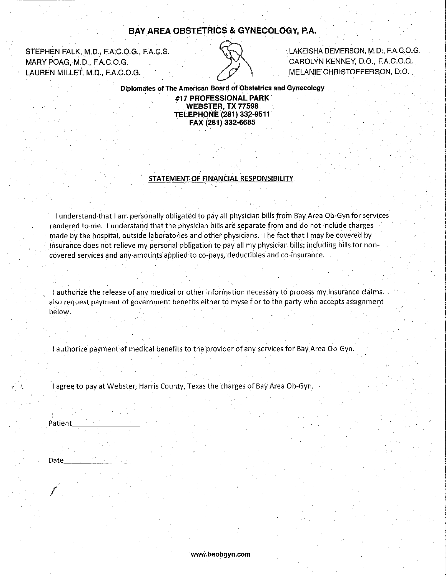### **BAY AREA OBSTETRICS & GYNECOLOGY, P.A.**

STEPHEN FALK, M.D., F.A.C.O.G., F.A.C.S. MARY POAG, M.D., F.A.C.O.G. LAUREN MILLET, M.D., F.A.C.O.G.



LAKEISHA DEMERSON, M.D., F.A.C.O.G. CAROLYN KENNEY, D.O., F.A.C.O.G. MELANIE CHRISTOFFERSON, D.O.

Diplomates of The American Board of Obstetrics and Gynecology #17 PROFESSIONAL PARK **WEBSTER, TX 77598 TELEPHONE (281) 332-9511** 

FAX (281) 332-6685

STATEMENT OF FINANCIAL RESPONSIBILITY.

I understand that I am personally obligated to pay all physician bills from Bay Area Ob-Gyn for services rendered to me. I understand that the physician bills are separate from and do not include charges made by the hospital, outside laboratories and other physicians. The fact that I may be covered by insurance does not relieve my personal obligation to pay all my physician bills, including bills for noncovered services and any amounts applied to co-pays, deductibles and co-insurance.

I authorize the release of any medical or other information necessary to process my insurance claims. also request payment of government benefits either to myself or to the party who accepts assignment below.

I authorize payment of medical benefits to the provider of any services for Bay Area Ob-Gyn.

I agree to pay at Webster, Harris County, Texas the charges of Bay Area Ob-Gyn.

Patient

Date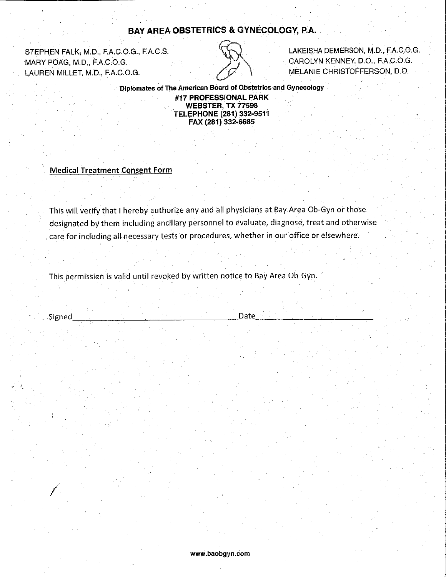### BAY AREA OBSTETRICS & GYNECOLOGY, P.A.

STEPHEN FALK, M.D., F.A.C.O.G., F.A.C.S. MARY POAG, M.D., F.A.C.O.G. LAUREN MILLET, M.D., F.A.C.O.G.



LAKEISHA DEMERSON, M.D., F.A.C.O.G. CAROLYN KENNEY, D.O., F.A.C.O.G. MELANIE CHRISTOFFERSON, D.O.

Diplomates of The American Board of Obstetrics and Gynecology #17 PROFESSIONAL PARK **WEBSTER, TX 77598 TELEPHONE (281) 332-9511** FAX (281) 332-6685

**Medical Treatment Consent Form** 

This will verify that I hereby authorize any and all physicians at Bay Area Ob-Gyn or those designated by them including ancillary personnel to evaluate, diagnose, treat and otherwise care for including all necessary tests or procedures, whether in our office or elsewhere.

Date

This permission is valid until revoked by written notice to Bay Area Ob-Gyn.

Signed

www.baobgyn.com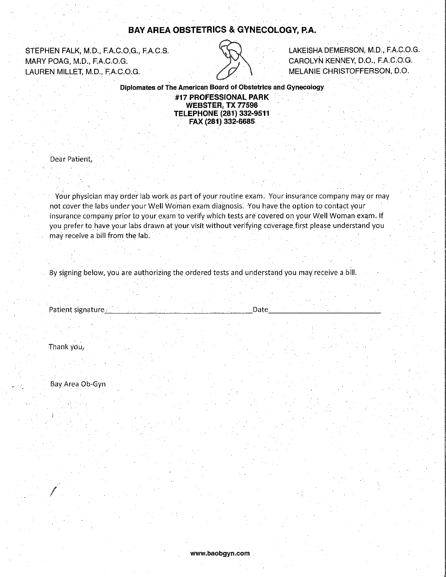### **BAY AREA OBSTETRICS & GYNECOLOGY, P.A.**

STEPHEN FALK, M.D., F.A.C.O.G., F.A.C.S. MARY POAG, M.D., F.A.C.O.G. LAUREN MILLET, M.D., F.A.C.O.G.



LAKEISHA DEMERSON, M.D., F.A.C.O.G. CAROLYN KENNEY, D.O., F.A.C.O.G. MELANIE CHRISTOFFERSON, D.O.

Diplomates of The American Board of Obstetrics and Gynecology #17 PROFESSIONAL PARK **WEBSTER, TX 77598 TELEPHONE (281) 332-9511** FAX (281) 332-6685

Dear Patient,

Your physician may order lab work as part of your routine exam. Your insurance company may or may not cover the labs under your Well Woman exam diagnosis. You have the option to contact your insurance company prior to your exam to verify which tests are covered on your Well Woman exam. If you prefer to have your labs drawn at your visit without verifying coverage first please understand you may receive a bill from the lab.

By signing below, you are authorizing the ordered tests and understand you may receive a bill.

Patient signature.

Date

Thank you,

Bay Area Ob-Gyn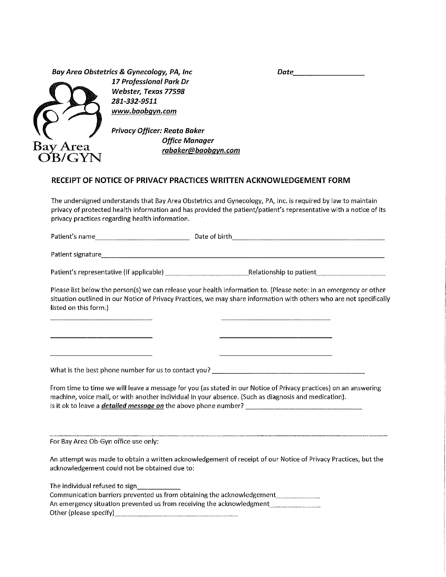| Date |
|------|
|      |



17 Professional Park Dr Webster, Texas 77598 281-332-9511 www.baobgyn.com

Privacy Officer: Reata Baker **Office Manager** rabaker@baobayn.com

### RECEIPT OF NOTICE OF PRIVACY PRACTICES WRITTEN ACKNOWLEDGEMENT FORM

The undersigned understands that Bay Area Obstetrics and Gynecology, PA, Inc. is required by law to maintain privacy of protected health information and has provided the patient/patient's representative with a notice of its privacy practices regarding health information.

| Patient's name<br>Date of birth. |  |
|----------------------------------|--|
| _______                          |  |

Please list below the person(s) we can release your health information to. (Please note: In an emergency or other situation outlined in our Notice of Privacy Practices, we may share information with others who are not specifically listed on this form.)

From time to time we will leave a message for you (as stated in our Notice of Privacy practices) on an answering machine, voice mail, or with another individual in your absence. (Such as diagnosis and medication). 

For Bay Area Ob-Gyn office use only:

An attempt was made to obtain a written acknowledgement of receipt of our Notice of Privacy Practices, but the acknowledgement could not be obtained due to:

The individual refused to sign

| Communication barriers prevented us from obtaining the acknowledgement |  |
|------------------------------------------------------------------------|--|
| An emergency situation prevented us from receiving the acknowledgment  |  |
| Other (please specify)                                                 |  |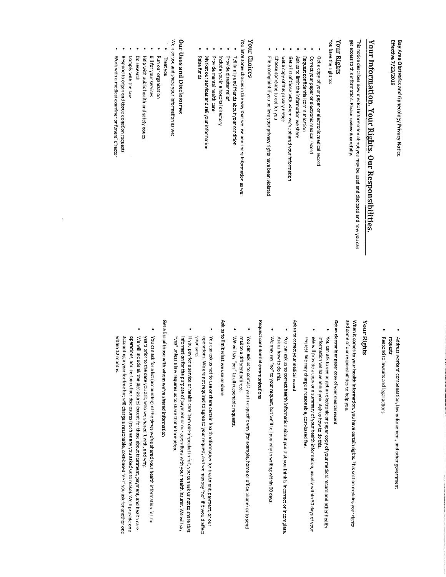Effective 7/23/2019 Bay Area Obstetrics and Gynecology Privacy Notice

# <u> Your Information. Your Rights. Our Responsibilities</u>

get access to this information. Please review it carefully. This notice describes how medical information about you may be used and disclosed and how you can

### Your Rights

You have the right to:

- Get a copy of your paper or electronic medical record
- Correct your paper or electronic medical record
- Request confidential communication
- Ask us to limit the information we share
- Get a list of those with whom we've shared your information
- Get a copy of this privacy notice
- Choose someone to act for you
- File a complaint if you believe your privacy rights have been violated

### Your Choices

You have some choices in the way that we use and share information as we:

- Tell family and friends about your condition
- Provide disaster relief
- Include you in a hospital directory
- Provide mental health care
- Market our services and sell your information
- Raise funds

### Our Uses and Disclosures

We may use and share your information as we:

- Treat you
- Run our organization
- Bill for your services
- Help with public health and safety issues
- Do research
- Comply with the law
- Work with a medical examiner or funeral director Respond to organ and tissue donation requests

- Address workers' compensation, law enforcement, and other government requests
- Respond to lawsuits and legal actions

### Your Rights

When it comes to your health information, you have certain rights. This section explains your rights and some of our responsibilities to help you.

## Get an electronic or paper copy of your medical record

- You can ask to see or get an electronic or paper copy of your medical record and other health information we have about you. Ask us how to do this.
- We will provide a copy or a summary of your health information, usually within 30 days of your request. We may charge a reasonable, cost-based fee.

### Ask us to correct your medical record

- You can ask us to correct health information about you that you think is incorrect or incomplete. Ask us how to do this.
- We may say "no" to your request, but we'll tell you why in writing within 60 days

## Request confidential communications

- You can ask us to contact you in a specific way (for example, home or office phone) or to send mail to a different address.
- We will say "yes" to all reasonable requests

### Ask us to limit what we use or share

- You can ask us not to use or share certain health information for treatment, payment, or our operations. We are not required to agree to your request, and we may say "no" if it would affect your care.
- If you pay for a service or health care item out-of-pocket in full, you can ask us not to share that information for the purpose of payment or our operations with your health insurer. We will say "yes" unless a law requires us to share that information.

## Get a list of those with whom we've shared information

- You can ask for a list (accounting) of the times we've shared your health information for six years prior to the date you ask, who we shared it with, and why.
- We will include all the disclosures except for those about treatment, payment, and health care accounting a year for free but will charge a reasonable, cost-based fee if you ask for another one operations, and certain other disclosures (such as any you asked us to make). We'll provide one within 12 months.